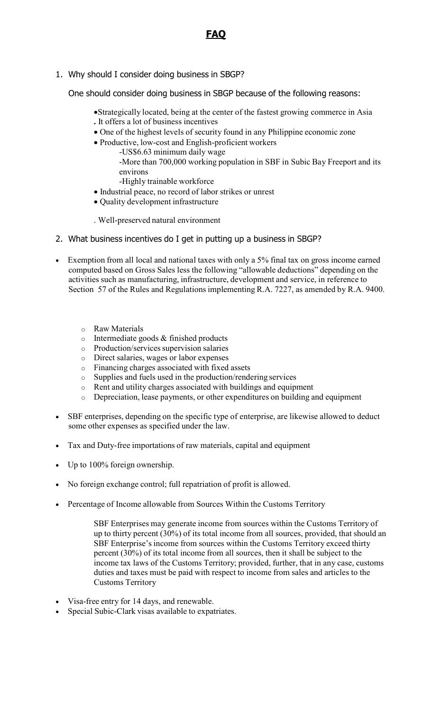1. Why should I consider doing business in SBGP?

One should consider doing business in SBGP because of the following reasons:

- Strategically located, being at the center of the fastest growing commerce in Asia **.** It offers a lot of business incentives
- One of the highest levels of security found in any Philippine economic zone
- Productive, low-cost and English-proficient workers
	- -US\$6.63 minimum daily wage -More than 700,000 working population in SBF in Subic Bay Freeport and its environs -Highly trainable workforce
- Industrial peace, no record of labor strikes or unrest
- Quality development infrastructure

. Well-preserved natural environment

- 2. What business incentives do I get in putting up a business in SBGP?
- Exemption from all local and national taxes with only a 5% final tax on gross income earned computed based on Gross Sales less the following "allowable deductions" depending on the activities such as manufacturing, infrastructure, development and service, in reference to Section 57 of the Rules and Regulations implementing R.A. 7227, as amended by R.A. 9400.
	- o Raw Materials
	- o Intermediate goods & finished products
	- $\circ$  Production/services supervision salaries
	- o Direct salaries, wages or labor expenses
	- o Financing charges associated with fixed assets
	-
	- o Supplies and fuels used in the production/rendering services Rent and utility charges associated with buildings and equipment
	- o Depreciation, lease payments, or other expenditures on building and equipment
- SBF enterprises, depending on the specific type of enterprise, are likewise allowed to deduct some other expenses as specified under the law.
- Tax and Duty-free importations of raw materials, capital and equipment
- Up to 100% foreign ownership.
- No foreign exchange control; full repatriation of profit is allowed.
- Percentage of Income allowable from Sources Within the Customs Territory
	- SBF Enterprises may generate income from sources within the Customs Territory of up to thirty percent (30%) of its total income from all sources, provided, that should an SBF Enterprise's income from sources within the Customs Territory exceed thirty percent (30%) of its total income from all sources, then it shall be subject to the income tax laws of the Customs Territory; provided, further, that in any case, customs duties and taxes must be paid with respect to income from sales and articles to the Customs Territory
- Visa-free entry for 14 days, and renewable.
- Special Subic-Clark visas available to expatriates.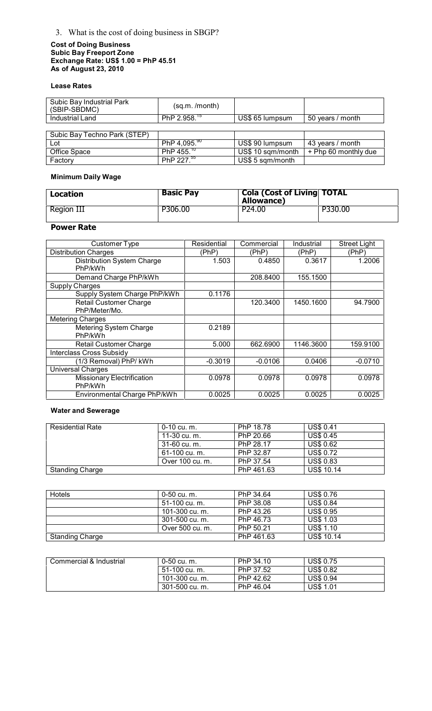## 3. What is the cost of doing business in SBGP?

#### **Cost of Doing Business Subic Bay Freeport Zone Exchange Rate: US\$ 1.00 = PhP 45.51 As of August 23, 2010**

### **Lease Rates**

| Subic Bay Industrial Park<br>(SBIP-SBDMC) | (sq.m. /month)         |                   |                      |
|-------------------------------------------|------------------------|-------------------|----------------------|
| Industrial Land                           | PhP $2.958.^{15}$      | US\$ 65 lumpsum   | 50 years / month     |
|                                           |                        |                   |                      |
| Subic Bay Techno Park (STEP)              |                        |                   |                      |
| Lot                                       | PhP 4,095. $90$        | US\$ 90 lumpsum   | 43 years / month     |
| Office Space                              | PhP 455. <sup>10</sup> | US\$ 10 sqm/month | + Php 60 monthly due |
| Factory                                   | PhP $227.^{55}$        | US\$ 5 sqm/month  |                      |

### **Minimum Daily Wage**

| Location   | <b>Basic Pay</b> | <b>Cola (Cost of Living TOTAL</b><br><b>Allowance)</b> |         |
|------------|------------------|--------------------------------------------------------|---------|
| Region III | P306.00          | P <sub>24.00</sub>                                     | P330.00 |

## **Power Rate**

| Customer Type                                  | Residential | Commercial | Industrial | <b>Street Light</b> |
|------------------------------------------------|-------------|------------|------------|---------------------|
| <b>Distribution Charges</b>                    | (PhP)       | (PhP)      | (PhP)      | (PhP)               |
| <b>Distribution System Charge</b><br>PhP/kWh   | 1.503       | 0.4850     | 0.3617     | 1.2006              |
| Demand Charge PhP/kWh                          |             | 208.8400   | 155.1500   |                     |
| <b>Supply Charges</b>                          |             |            |            |                     |
| Supply System Charge PhP/kWh                   | 0.1176      |            |            |                     |
| <b>Retail Customer Charge</b><br>PhP/Meter/Mo. |             | 120.3400   | 1450.1600  | 94.7900             |
| <b>Metering Charges</b>                        |             |            |            |                     |
| Metering System Charge<br>PhP/kWh              | 0.2189      |            |            |                     |
| <b>Retail Customer Charge</b>                  | 5.000       | 662.6900   | 1146.3600  | 159.9100            |
| <b>Interclass Cross Subsidy</b>                |             |            |            |                     |
| (1/3 Removal) PhP/ kWh                         | $-0.3019$   | $-0.0106$  | 0.0406     | $-0.0710$           |
| <b>Universal Charges</b>                       |             |            |            |                     |
| <b>Missionary Electrification</b><br>PhP/kWh   | 0.0978      | 0.0978     | 0.0978     | 0.0978              |
| Environmental Charge PhP/kWh                   | 0.0025      | 0.0025     | 0.0025     | 0.0025              |

## **Water and Sewerage**

| Residential Rate       | 0-10 cu. m.     | PhP 18.78  | <b>US\$ 0.41</b>  |
|------------------------|-----------------|------------|-------------------|
|                        | 11-30 cu. m.    | PhP 20.66  | <b>US\$ 0.45</b>  |
|                        | 31-60 cu. m.    | PhP 28.17  | <b>US\$ 0.62</b>  |
|                        | 61-100 cu. m.   | PhP 32.87  | <b>US\$ 0.72</b>  |
|                        | Over 100 cu. m. | PhP 37.54  | <b>US\$ 0.83</b>  |
| <b>Standing Charge</b> |                 | PhP 461.63 | <b>US\$ 10.14</b> |

| <b>Hotels</b>          | 0-50 cu. m.     | PhP 34.64  | <b>US\$ 0.76</b>  |
|------------------------|-----------------|------------|-------------------|
|                        | 51-100 cu. m.   | PhP 38.08  | <b>US\$ 0.84</b>  |
|                        | 101-300 cu. m.  | PhP 43.26  | <b>US\$ 0.95</b>  |
|                        | 301-500 cu. m.  | PhP 46.73  | <b>US\$ 1.03</b>  |
|                        | Over 500 cu. m. | PhP 50.21  | <b>US\$ 1.10</b>  |
| <b>Standing Charge</b> |                 | PhP 461.63 | <b>US\$ 10.14</b> |

| Commercial & Industrial | 0-50 cu. m.    | PhP 34.10 | <b>US\$ 0.75</b> |  |
|-------------------------|----------------|-----------|------------------|--|
|                         | 51-100 cu. m.  | PhP 37.52 | <b>US\$ 0.82</b> |  |
|                         | 101-300 cu. m. | PhP 42.62 | <b>US\$ 0.94</b> |  |
|                         | 301-500 cu. m. | PhP 46.04 | <b>US\$ 1.01</b> |  |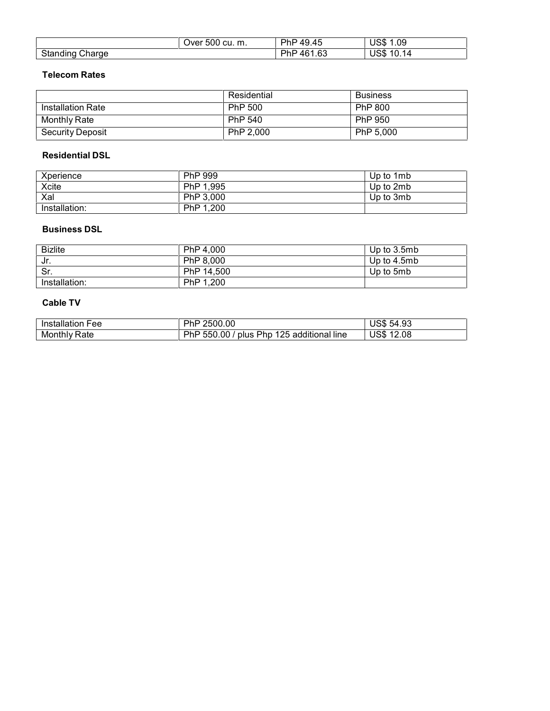|                        | Over 500 cu. m. | PhP 49.45     | <b>US\$ 1.09</b>  |
|------------------------|-----------------|---------------|-------------------|
| <b>Standing Charge</b> |                 | PhP<br>461.63 | <b>US\$ 10.14</b> |

#### **Telecom Rates**

|                         | Residential | <b>Business</b> |
|-------------------------|-------------|-----------------|
| Installation Rate       | PhP 500     | PhP 800         |
| Monthly Rate            | PhP 540     | PhP 950         |
| <b>Security Deposit</b> | PhP 2.000   | PhP 5.000       |

#### **Residential DSL**

| Xperience     | PhP 999   | Up to 1mb |
|---------------|-----------|-----------|
| Xcite         | PhP 1,995 | Up to 2mb |
| Xal           | PhP 3.000 | Up to 3mb |
| Installation: | PhP 1,200 |           |

### **Business DSL**

| <b>Bizlite</b> | PhP 4.000  | Up to 3.5mb |
|----------------|------------|-------------|
| Jr.            | PhP 8,000  | Up to 4.5mb |
| Sr.            | PhP 14,500 | Up to 5mb   |
| Installation:  | PhP 1,200  |             |

### **Cable TV**

| <b>Installation Fee</b> | 2500.00<br>PhP                            | <b>US\$ 54.93</b> |
|-------------------------|-------------------------------------------|-------------------|
| <b>Monthly Rate</b>     | PhP 550.00 / plus Php 125 additional line | <b>US\$ 12.08</b> |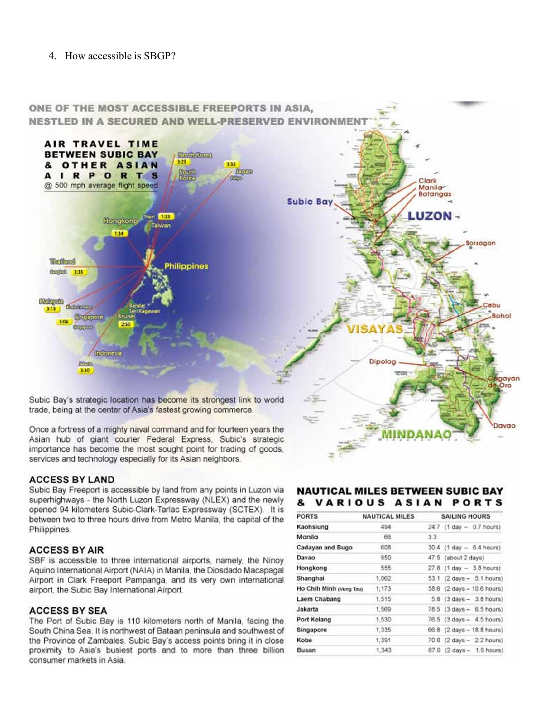### 4. How accessible is SBGP?



**ACCESS BY LAND** 

Subic Bay Freeport is accessible by land from any points in Luzon via superhighways - the North Luzon Expressway (NLEX) and the newly opened 94 kilometers Subic-Clark-Tarlac Expressway (SCTEX). It is between two to three hours drive from Metro Manila, the capital of the Philippines.

#### **ACCESS BY AIR**

SBF is accessible to three international airports, namely, the Ninoy Aquino International Airport (NAIA) in Manila, the Diosdado Macapagal Airport in Clark Freeport Pampanga, and its very own international airport, the Subic Bay International Airport.

#### **ACCESS BY SEA**

The Port of Subic Bay is 110 kilometers north of Manila, facing the South China Sea. It is northwest of Bataan peninsula and southwest of the Province of Zambales. Subic Bay's access points bring it in close proximity to Asia's busiest ports and to more than three billion consumer markets in Asia.

#### **NAUTICAL MILES BETWEEN SUBIC BAY** & VARIOUS ASIAN PORTS

| <b>PORTS</b>            | <b>NAUTICAL MILES</b> | <b>SAILING HOURS</b>         |
|-------------------------|-----------------------|------------------------------|
| Kaohsiung               | 494                   | 24.7 (1 day - 0.7 hours)     |
| Manila                  | 66                    | 33                           |
| Cadayan and Bugo        | 608                   | $30.4$ (1 day $-6.4$ hours)  |
| Davao                   | 950                   | 47.5 (about 2 days)          |
| Hongkong                | 555                   | $27.8$ (1 day $- 3.8$ hours) |
| Shanghai                | 1,062                 | 53.1 (2 days - 5.1 hours)    |
| Ho Chih Minh (Vung Tau) | 1,173                 | 58.6 (2 days - 10.6 hours)   |
| Laem Chabang            | 1,515                 | 5.8 (3 days - 3.8 hours)     |
| Jakarta                 | 1,569                 | 78.5 (3 days - 6.5 hours)    |
| Port Kelang             | 1,530                 | 76.5 (3 days - 4.5 hours)    |
| Singapore               | 1,335                 | 66.8 (2 days - 18.8 hours)   |
| Kobe                    | 1,391                 | 70.0 (2 days - 2.2 hours)    |
| Busan                   | 1,343                 | $67.0$ (2 days $-1.9$ hours) |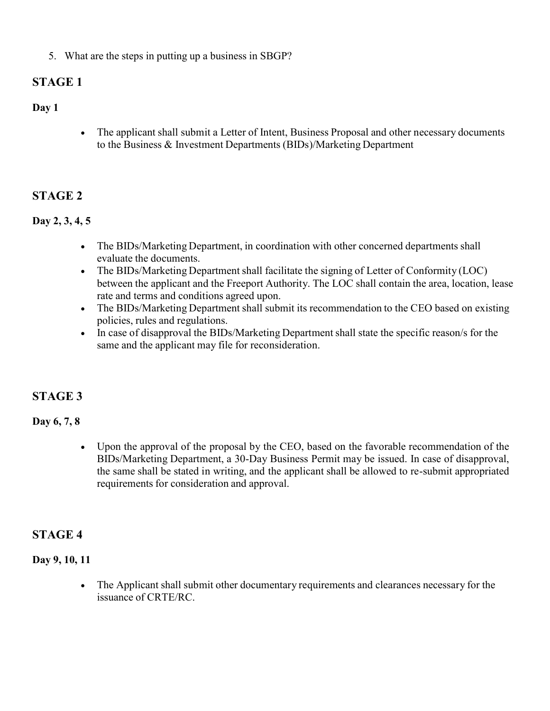5. What are the steps in putting up a business in SBGP?

# **STAGE 1**

## **Day 1**

• The applicant shall submit a Letter of Intent, Business Proposal and other necessary documents to the Business & Investment Departments (BIDs)/Marketing Department

# **STAGE 2**

## **Day 2, 3, 4, 5**

- The BIDs/Marketing Department, in coordination with other concerned departments shall evaluate the documents.
- The BIDs/Marketing Department shall facilitate the signing of Letter of Conformity (LOC) between the applicant and the Freeport Authority. The LOC shall contain the area, location, lease rate and terms and conditions agreed upon.
- The BIDs/Marketing Department shall submit its recommendation to the CEO based on existing policies, rules and regulations.
- In case of disapproval the BIDs/Marketing Department shall state the specific reason/s for the same and the applicant may file for reconsideration.

# **STAGE 3**

## **Day 6, 7, 8**

 Upon the approval of the proposal by the CEO, based on the favorable recommendation of the BIDs/Marketing Department, a 30-Day Business Permit may be issued. In case of disapproval, the same shall be stated in writing, and the applicant shall be allowed to re-submit appropriated requirements for consideration and approval.

# **STAGE 4**

## **Day 9, 10, 11**

 The Applicant shall submit other documentary requirements and clearances necessary for the issuance of CRTE/RC.